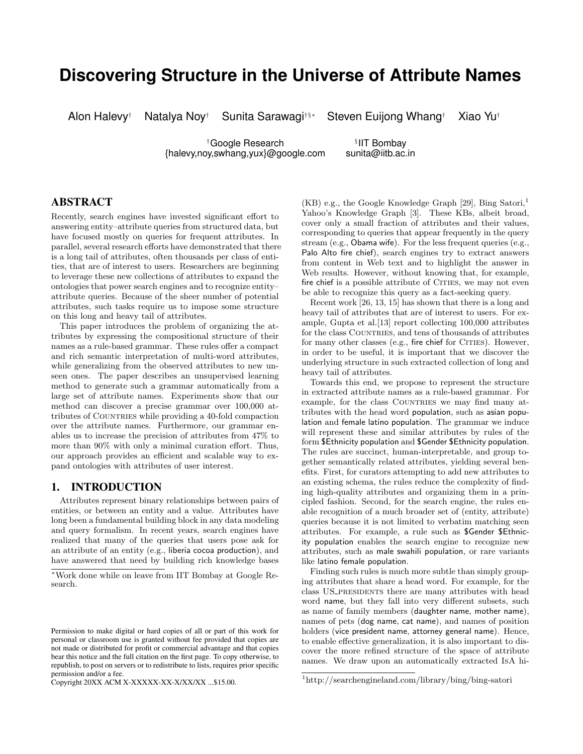# **Discovering Structure in the Universe of Attribute Names**

Alon Halevy† Natalya Noy† Sunita Sarawagi†§∗ Steven Euijong Whang† Xiao Yu†

tGoogle Research state in Tembay<br>http://www.ww.koogle.com sunita@iitb.ac.in  ${halevy}$ , noy, swhang, yux $\omega$ google.com

**IIT Bombay** 

# ABSTRACT

Recently, search engines have invested significant effort to answering entity–attribute queries from structured data, but have focused mostly on queries for frequent attributes. In parallel, several research efforts have demonstrated that there is a long tail of attributes, often thousands per class of entities, that are of interest to users. Researchers are beginning to leverage these new collections of attributes to expand the ontologies that power search engines and to recognize entity– attribute queries. Because of the sheer number of potential attributes, such tasks require us to impose some structure on this long and heavy tail of attributes.

This paper introduces the problem of organizing the attributes by expressing the compositional structure of their names as a rule-based grammar. These rules offer a compact and rich semantic interpretation of multi-word attributes, while generalizing from the observed attributes to new unseen ones. The paper describes an unsupervised learning method to generate such a grammar automatically from a large set of attribute names. Experiments show that our method can discover a precise grammar over 100,000 attributes of COUNTRIES while providing a 40-fold compaction over the attribute names. Furthermore, our grammar enables us to increase the precision of attributes from 47% to more than 90% with only a minimal curation effort. Thus, our approach provides an efficient and scalable way to expand ontologies with attributes of user interest.

# 1. INTRODUCTION

Attributes represent binary relationships between pairs of entities, or between an entity and a value. Attributes have long been a fundamental building block in any data modeling and query formalism. In recent years, search engines have realized that many of the queries that users pose ask for an attribute of an entity (e.g., liberia cocoa production), and have answered that need by building rich knowledge bases

Copyright 20XX ACM X-XXXXX-XX-X/XX/XX ...\$15.00.

 $(KB)$  e.g., the Google Knowledge Graph [29], Bing Satori,<sup>1</sup> Yahoo's Knowledge Graph [3]. These KBs, albeit broad, cover only a small fraction of attributes and their values, corresponding to queries that appear frequently in the query stream (e.g., Obama wife). For the less frequent queries (e.g., Palo Alto fire chief), search engines try to extract answers from content in Web text and to highlight the answer in Web results. However, without knowing that, for example, fire chief is a possible attribute of CITIES, we may not even be able to recognize this query as a fact-seeking query.

Recent work [26, 13, 15] has shown that there is a long and heavy tail of attributes that are of interest to users. For example, Gupta et al.[13] report collecting 100,000 attributes for the class COUNTRIES, and tens of thousands of attributes for many other classes (e.g., fire chief for CITIES). However, in order to be useful, it is important that we discover the underlying structure in such extracted collection of long and heavy tail of attributes.

Towards this end, we propose to represent the structure in extracted attribute names as a rule-based grammar. For example, for the class COUNTRIES we may find many attributes with the head word population, such as asian population and female latino population. The grammar we induce will represent these and similar attributes by rules of the form \$Ethnicity population and \$Gender \$Ethnicity population. The rules are succinct, human-interpretable, and group together semantically related attributes, yielding several benefits. First, for curators attempting to add new attributes to an existing schema, the rules reduce the complexity of finding high-quality attributes and organizing them in a principled fashion. Second, for the search engine, the rules enable recognition of a much broader set of (entity, attribute) queries because it is not limited to verbatim matching seen attributes. For example, a rule such as \$Gender \$Ethnicity population enables the search engine to recognize new attributes, such as male swahili population, or rare variants like latino female population.

Finding such rules is much more subtle than simply grouping attributes that share a head word. For example, for the class US\_PRESIDENTS there are many attributes with head word name, but they fall into very different subsets, such as name of family members (daughter name, mother name), names of pets (dog name, cat name), and names of position holders (vice president name, attorney general name). Hence, to enable effective generalization, it is also important to discover the more refined structure of the space of attribute names. We draw upon an automatically extracted IsA hi-

<sup>∗</sup>Work done while on leave from IIT Bombay at Google Research.

Permission to make digital or hard copies of all or part of this work for personal or classroom use is granted without fee provided that copies are not made or distributed for profit or commercial advantage and that copies bear this notice and the full citation on the first page. To copy otherwise, to republish, to post on servers or to redistribute to lists, requires prior specific permission and/or a fee.

<sup>1</sup>http://searchengineland.com/library/bing/bing-satori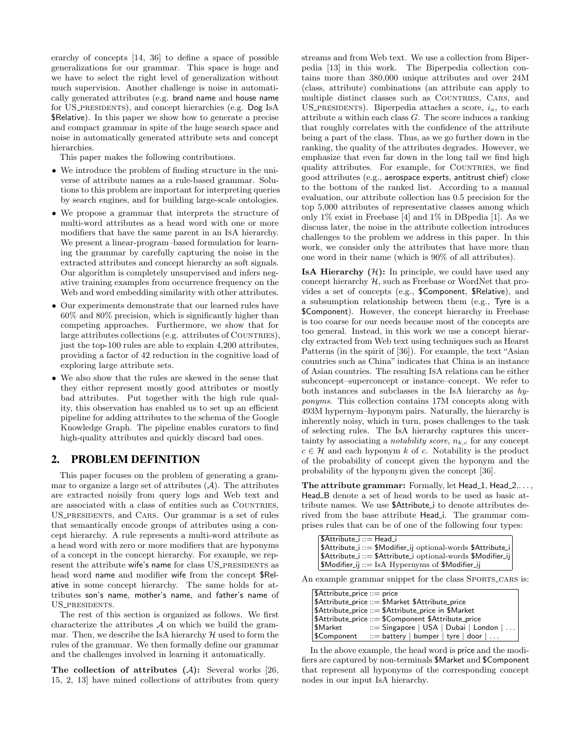erarchy of concepts [14, 36] to define a space of possible generalizations for our grammar. This space is huge and we have to select the right level of generalization without much supervision. Another challenge is noise in automatically generated attributes (e.g. brand name and house name for US\_PRESIDENTS), and concept hierarchies (e.g. Dog IsA \$Relative). In this paper we show how to generate a precise and compact grammar in spite of the huge search space and noise in automatically generated attribute sets and concept hierarchies.

This paper makes the following contributions.

- We introduce the problem of finding structure in the universe of attribute names as a rule-based grammar. Solutions to this problem are important for interpreting queries by search engines, and for building large-scale ontologies.
- We propose a grammar that interprets the structure of multi-word attributes as a head word with one or more modifiers that have the same parent in an IsA hierarchy. We present a linear-program–based formulation for learning the grammar by carefully capturing the noise in the extracted attributes and concept hierarchy as soft signals. Our algorithm is completely unsupervised and infers negative training examples from occurrence frequency on the Web and word embedding similarity with other attributes.
- Our experiments demonstrate that our learned rules have 60% and 80% precision, which is significantly higher than competing approaches. Furthermore, we show that for large attributes collections (e.g. attributes of COUNTRIES), just the top-100 rules are able to explain 4,200 attributes, providing a factor of 42 reduction in the cognitive load of exploring large attribute sets.
- We also show that the rules are skewed in the sense that they either represent mostly good attributes or mostly bad attributes. Put together with the high rule quality, this observation has enabled us to set up an efficient pipeline for adding attributes to the schema of the Google Knowledge Graph. The pipeline enables curators to find high-quality attributes and quickly discard bad ones.

## 2. PROBLEM DEFINITION

This paper focuses on the problem of generating a grammar to organize a large set of attributes  $(A)$ . The attributes are extracted noisily from query logs and Web text and are associated with a class of entities such as COUNTRIES, US presidents, and Cars. Our grammar is a set of rules that semantically encode groups of attributes using a concept hierarchy. A rule represents a multi-word attribute as a head word with zero or more modifiers that are hyponyms of a concept in the concept hierarchy. For example, we represent the attribute wife's name for class US\_PRESIDENTS as head word name and modifier wife from the concept \$Relative in some concept hierarchy. The same holds for attributes son's name, mother's name, and father's name of US\_PRESIDENTS.

The rest of this section is organized as follows. We first characterize the attributes  $\mathcal A$  on which we build the grammar. Then, we describe the IsA hierarchy  $\mathcal H$  used to form the rules of the grammar. We then formally define our grammar and the challenges involved in learning it automatically.

The collection of attributes  $(A)$ : Several works [26, 15, 2, 13] have mined collections of attributes from query streams and from Web text. We use a collection from Biperpedia [13] in this work. The Biperpedia collection contains more than 380,000 unique attributes and over 24M (class, attribute) combinations (an attribute can apply to multiple distinct classes such as COUNTRIES, CARS, and US\_PRESIDENTS). Biperpedia attaches a score,  $i_a$ , to each attribute a within each class G. The score induces a ranking that roughly correlates with the confidence of the attribute being a part of the class. Thus, as we go further down in the ranking, the quality of the attributes degrades. However, we emphasize that even far down in the long tail we find high quality attributes. For example, for COUNTRIES, we find good attributes (e.g., aerospace experts, antitrust chief) close to the bottom of the ranked list. According to a manual evaluation, our attribute collection has 0.5 precision for the top 5,000 attributes of representative classes among which only 1% exist in Freebase [4] and 1% in DBpedia [1]. As we discuss later, the noise in the attribute collection introduces challenges to the problem we address in this paper. In this work, we consider only the attributes that have more than one word in their name (which is 90% of all attributes).

**IsA Hierarchy**  $(H)$ : In principle, we could have used any concept hierarchy  $H$ , such as Freebase or WordNet that provides a set of concepts (e.g., \$Component, \$Relative), and a subsumption relationship between them (e.g., Tyre is a \$Component). However, the concept hierarchy in Freebase is too coarse for our needs because most of the concepts are too general. Instead, in this work we use a concept hierarchy extracted from Web text using techniques such as Hearst Patterns (in the spirit of [36]). For example, the text "Asian countries such as China" indicates that China is an instance of Asian countries. The resulting IsA relations can be either subconcept–superconcept or instance–concept. We refer to both instances and subclasses in the IsA hierarchy as hyponyms. This collection contains 17M concepts along with 493M hypernym–hyponym pairs. Naturally, the hierarchy is inherently noisy, which in turn, poses challenges to the task of selecting rules. The IsA hierarchy captures this uncertainty by associating a *notability score*,  $n_{k,c}$  for any concept  $c \in \mathcal{H}$  and each hyponym k of c. Notability is the product of the probability of concept given the hyponym and the probability of the hyponym given the concept [36].

The attribute grammar: Formally, let  $Head_1$ ,  $Head_2$ ,... Head B denote a set of head words to be used as basic attribute names. We use \$Attribute i to denote attributes derived from the base attribute Head i. The grammar comprises rules that can be of one of the following four types:

| \$Attribute_i ::= Head_i                                                |
|-------------------------------------------------------------------------|
| \$Attribute_i ::= \$Modifier_ij optional-words \$Attribute_i            |
| \$Attribute_i ::= \$Attribute_i optional-words \$Modifier_ij            |
| $ \text{$M$}$ Modifier_ij ::= IsA Hypernyms of $\text{$M$}$ Modifier_ij |

An example grammar snippet for the class SPORTS\_CARS is:

| \$Attribute_price ::= price |                                                     |
|-----------------------------|-----------------------------------------------------|
|                             | SAttribute_price ::= \$Market \$Attribute_price     |
|                             | SAttribute_price ::= \$Attribute_price in \$Market  |
|                             | \$Attribute_price ::= \$Component \$Attribute_price |
| l \$Market                  | $ ::=$ Singapore   USA   Dubai   London             |
| SComponent                  | $ ::=$ battery   bumper   tyre   door               |

In the above example, the head word is price and the modifiers are captured by non-terminals \$Market and \$Component that represent all hyponyms of the corresponding concept nodes in our input IsA hierarchy.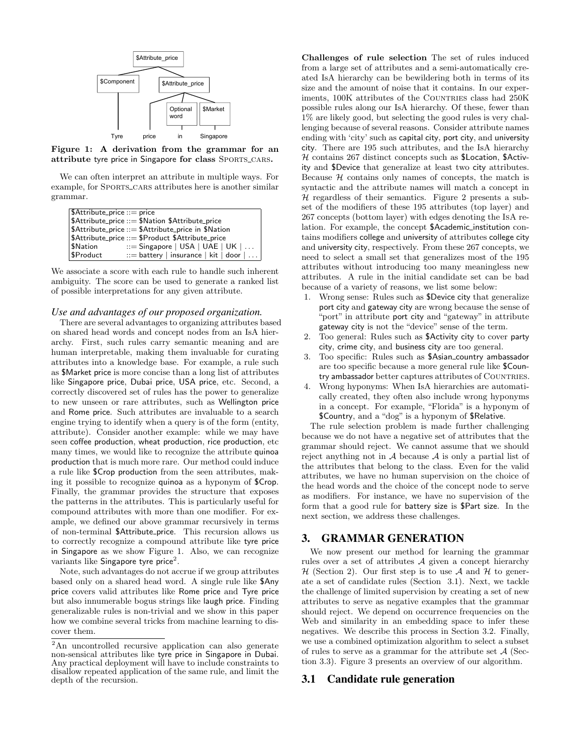

Figure 1: A derivation from the grammar for an attribute tyre price in Singapore for class SPORTS\_CARS.

We can often interpret an attribute in multiple ways. For example, for SPORTS\_CARS attributes here is another similar grammar.

| $$$ Attribute_price ::= price |                                                     |
|-------------------------------|-----------------------------------------------------|
|                               | \$Attribute_price ::= \$Nation \$Attribute_price    |
|                               | \$Attribute_price ::= \$Attribute_price in \$Nation |
|                               | \$Attribute_price ::= \$Product \$Attribute_price   |
| \$Nation                      | $\therefore$ Singapore   USA   UAE   UK             |
| \$Product                     | $ ::=$ battery   insurance   kit   door             |
|                               |                                                     |

We associate a score with each rule to handle such inherent ambiguity. The score can be used to generate a ranked list of possible interpretations for any given attribute.

## *Use and advantages of our proposed organization.*

There are several advantages to organizing attributes based on shared head words and concept nodes from an IsA hierarchy. First, such rules carry semantic meaning and are human interpretable, making them invaluable for curating attributes into a knowledge base. For example, a rule such as \$Market price is more concise than a long list of attributes like Singapore price, Dubai price, USA price, etc. Second, a correctly discovered set of rules has the power to generalize to new unseen or rare attributes, such as Wellington price and Rome price. Such attributes are invaluable to a search engine trying to identify when a query is of the form (entity, attribute). Consider another example: while we may have seen coffee production, wheat production, rice production, etc many times, we would like to recognize the attribute quinoa production that is much more rare. Our method could induce a rule like \$Crop production from the seen attributes, making it possible to recognize quinoa as a hyponym of \$Crop. Finally, the grammar provides the structure that exposes the patterns in the attributes. This is particularly useful for compound attributes with more than one modifier. For example, we defined our above grammar recursively in terms of non-terminal \$Attribute price. This recursion allows us to correctly recognize a compound attribute like tyre price in Singapore as we show Figure 1. Also, we can recognize variants like Singapore tyre price<sup>2</sup>.

Note, such advantages do not accrue if we group attributes based only on a shared head word. A single rule like \$Any price covers valid attributes like Rome price and Tyre price but also innumerable bogus strings like laugh price. Finding generalizable rules is non-trivial and we show in this paper how we combine several tricks from machine learning to discover them.

Challenges of rule selection The set of rules induced from a large set of attributes and a semi-automatically created IsA hierarchy can be bewildering both in terms of its size and the amount of noise that it contains. In our experiments, 100K attributes of the COUNTRIES class had 250K possible rules along our IsA hierarchy. Of these, fewer than 1% are likely good, but selecting the good rules is very challenging because of several reasons. Consider attribute names ending with 'city' such as capital city, port city, and university city. There are 195 such attributes, and the IsA hierarchy  $H$  contains 267 distinct concepts such as \$Location, \$Activity and \$Device that generalize at least two city attributes. Because  $H$  contains only names of concepts, the match is syntactic and the attribute names will match a concept in  $H$  regardless of their semantics. Figure 2 presents a subset of the modifiers of these 195 attributes (top layer) and 267 concepts (bottom layer) with edges denoting the IsA relation. For example, the concept \$Academic institution contains modifiers college and university of attributes college city and university city, respectively. From these 267 concepts, we need to select a small set that generalizes most of the 195 attributes without introducing too many meaningless new attributes. A rule in the initial candidate set can be bad because of a variety of reasons, we list some below:

- 1. Wrong sense: Rules such as \$Device city that generalize port city and gateway city are wrong because the sense of "port" in attribute port city and "gateway" in attribute gateway city is not the "device" sense of the term.
- Too general: Rules such as \$Activity city to cover party city, crime city, and business city are too general.
- 3. Too specific: Rules such as \$Asian country ambassador are too specific because a more general rule like \$Country ambassador better captures attributes of COUNTRIES.
- 4. Wrong hyponyms: When IsA hierarchies are automatically created, they often also include wrong hyponyms in a concept. For example, "Florida" is a hyponym of \$Country, and a "dog" is a hyponym of \$Relative.

The rule selection problem is made further challenging because we do not have a negative set of attributes that the grammar should reject. We cannot assume that we should reject anything not in  $A$  because  $A$  is only a partial list of the attributes that belong to the class. Even for the valid attributes, we have no human supervision on the choice of the head words and the choice of the concept node to serve as modifiers. For instance, we have no supervision of the form that a good rule for battery size is \$Part size. In the next section, we address these challenges.

## 3. GRAMMAR GENERATION

We now present our method for learning the grammar rules over a set of attributes  $A$  given a concept hierarchy  $H$  (Section 2). Our first step is to use A and H to generate a set of candidate rules (Section 3.1). Next, we tackle the challenge of limited supervision by creating a set of new attributes to serve as negative examples that the grammar should reject. We depend on occurrence frequencies on the Web and similarity in an embedding space to infer these negatives. We describe this process in Section 3.2. Finally, we use a combined optimization algorithm to select a subset of rules to serve as a grammar for the attribute set  $\mathcal{A}$  (Section 3.3). Figure 3 presents an overview of our algorithm.

#### 3.1 Candidate rule generation

<sup>2</sup>An uncontrolled recursive application can also generate non-sensical attributes like tyre price in Singapore in Dubai. Any practical deployment will have to include constraints to disallow repeated application of the same rule, and limit the depth of the recursion.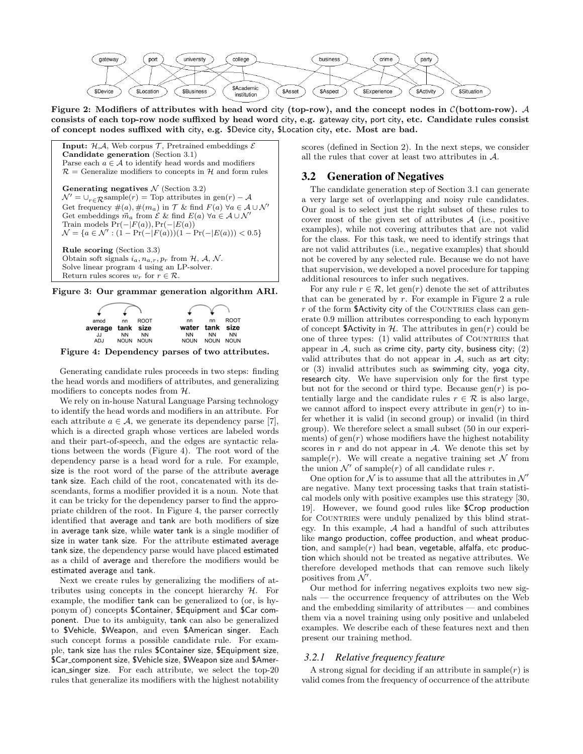

Figure 2: Modifiers of attributes with head word city (top-row), and the concept nodes in  $\mathcal{C}(\text{bottom-row})$ . A consists of each top-row node suffixed by head word city, e.g. gateway city, port city, etc. Candidate rules consist of concept nodes suffixed with city, e.g. \$Device city, \$Location city, etc. Most are bad.

**Input:**  $H.A.$  Web corpus  $T$ , Pretrained embeddings  $\mathcal{E}$ Candidate generation (Section 3.1) Parse each  $a \in \mathcal{A}$  to identify head words and modifiers  $\mathcal{R}$  = Generalize modifiers to concepts in  $\mathcal{H}$  and form rules Generating negatives  $N$  (Section 3.2)  $\mathcal{N}' = \bigcup_{r \in \mathcal{R}} \text{sample}(r) = \text{Top attributes in gen}(r) - \mathcal{A}$ Get frequency  $\#(a), \#(m_a)$  in  $\mathcal T$  & find  $F(a)$   $\forall a \in \mathcal A \cup \mathcal N'$ Get embeddings  $\vec{m}_a$  from  $\mathcal E$  & find  $E(a)$   $\forall a \in \mathcal A \cup \mathcal N'$ Train models  $Pr(-|F(a))$ ,  $Pr(-|E(a))$  $\mathcal{N} = \{a \in \mathcal{N}' : (1 - \Pr(-|F(a)))(1 - \Pr(-|E(a))) < 0.5\}$ 

Rule scoring (Section 3.3) Obtain soft signals  $i_a, n_{a,r}, p_r$  from  $H, A, N$ . Solve linear program 4 using an LP-solver. Return rules scores  $w_r$  for  $r \in \mathcal{R}$ .

Figure 3: Our grammar generation algorithm ARI.



Figure 4: Dependency parses of two attributes.

Generating candidate rules proceeds in two steps: finding the head words and modifiers of attributes, and generalizing modifiers to concepts nodes from H.

We rely on in-house Natural Language Parsing technology to identify the head words and modifiers in an attribute. For each attribute  $a \in \mathcal{A}$ , we generate its dependency parse [7], which is a directed graph whose vertices are labeled words and their part-of-speech, and the edges are syntactic relations between the words (Figure 4). The root word of the dependency parse is a head word for a rule. For example, size is the root word of the parse of the attribute average tank size. Each child of the root, concatenated with its descendants, forms a modifier provided it is a noun. Note that it can be tricky for the dependency parser to find the appropriate children of the root. In Figure 4, the parser correctly identified that average and tank are both modifiers of size in average tank size, while water tank is a single modifier of size in water tank size. For the attribute estimated average tank size, the dependency parse would have placed estimated as a child of average and therefore the modifiers would be estimated average and tank.

Next we create rules by generalizing the modifiers of attributes using concepts in the concept hierarchy  $H$ . For example, the modifier tank can be generalized to (or, is hyponym of) concepts \$Container, \$Equipment and \$Car component. Due to its ambiguity, tank can also be generalized to \$Vehicle, \$Weapon, and even \$American singer. Each such concept forms a possible candidate rule. For example, tank size has the rules \$Container size, \$Equipment size, \$Car component size, \$Vehicle size, \$Weapon size and \$American singer size. For each attribute, we select the top-20 rules that generalize its modifiers with the highest notability scores (defined in Section 2). In the next steps, we consider all the rules that cover at least two attributes in A.

## 3.2 Generation of Negatives

The candidate generation step of Section 3.1 can generate a very large set of overlapping and noisy rule candidates. Our goal is to select just the right subset of these rules to cover most of the given set of attributes  $A$  (i.e., positive examples), while not covering attributes that are not valid for the class. For this task, we need to identify strings that are not valid attributes (i.e., negative examples) that should not be covered by any selected rule. Because we do not have that supervision, we developed a novel procedure for tapping additional resources to infer such negatives.

For any rule  $r \in \mathcal{R}$ , let gen(r) denote the set of attributes that can be generated by  $r$ . For example in Figure 2 a rule  $r$  of the form \$Activity city of the COUNTRIES class can generate 0.9 million attributes corresponding to each hyponym of concept \$Activity in  $H$ . The attributes in gen(r) could be one of three types: (1) valid attributes of COUNTRIES that appear in  $A$ , such as crime city, party city, business city;  $(2)$ valid attributes that do not appear in  $A$ , such as art city; or (3) invalid attributes such as swimming city, yoga city, research city. We have supervision only for the first type but not for the second or third type. Because  $gen(r)$  is potentially large and the candidate rules  $r \in \mathcal{R}$  is also large, we cannot afford to inspect every attribute in  $gen(r)$  to infer whether it is valid (in second group) or invalid (in third group). We therefore select a small subset (50 in our experiments) of  $gen(r)$  whose modifiers have the highest notability scores in  $r$  and do not appear in  $A$ . We denote this set by sample(*r*). We will create a negative training set  $\mathcal N$  from the union  $\mathcal{N}'$  of sample(r) of all candidate rules r.

One option for  $N$  is to assume that all the attributes in  $N'$ are negative. Many text processing tasks that train statistical models only with positive examples use this strategy [30, 19]. However, we found good rules like \$Crop production for COUNTRIES were unduly penalized by this blind strategy. In this example, A had a handful of such attributes like mango production, coffee production, and wheat production, and sample $(r)$  had bean, vegetable, alfalfa, etc production which should not be treated as negative attributes. We therefore developed methods that can remove such likely positives from  $\overline{\mathcal{N}}$ .

Our method for inferring negatives exploits two new signals — the occurrence frequency of attributes on the Web and the embedding similarity of attributes — and combines them via a novel training using only positive and unlabeled examples. We describe each of these features next and then present our training method.

#### *3.2.1 Relative frequency feature*

A strong signal for deciding if an attribute in sample $(r)$  is valid comes from the frequency of occurrence of the attribute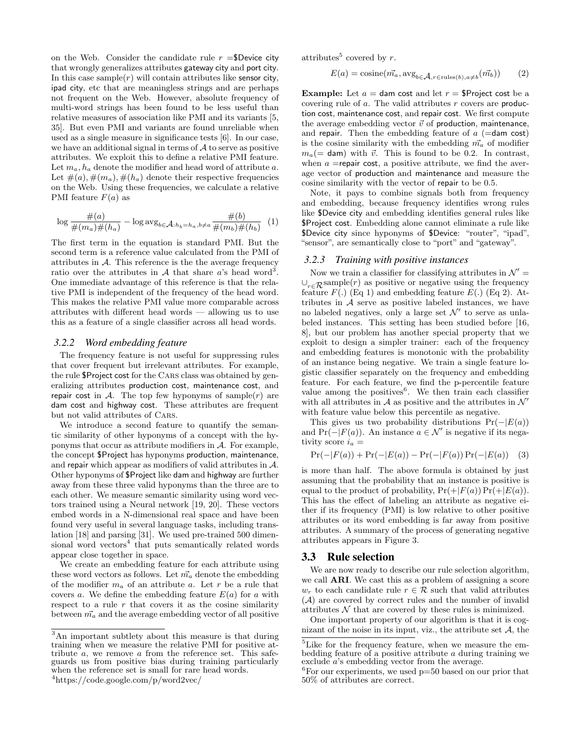on the Web. Consider the candidate rule  $r = $$ Device city that wrongly generalizes attributes gateway city and port city. In this case sample $(r)$  will contain attributes like sensor city, ipad city, etc that are meaningless strings and are perhaps not frequent on the Web. However, absolute frequency of multi-word strings has been found to be less useful than relative measures of association like PMI and its variants [5, 35]. But even PMI and variants are found unreliable when used as a single measure in significance tests [6]. In our case, we have an additional signal in terms of  $A$  to serve as positive attributes. We exploit this to define a relative PMI feature. Let  $m_a$ ,  $h_a$  denote the modifier and head word of attribute a. Let  $\#(a), \#(m_a), \#(h_a)$  denote their respective frequencies on the Web. Using these frequencies, we calculate a relative PMI feature  $F(a)$  as

$$
\log \frac{\#(a)}{\#(m_a)\#(h_a)} - \log \arg_{b \in \mathcal{A}: h_b = h_a, b \neq a} \frac{\#(b)}{\#(m_b)\#(h_b)} \quad (1)
$$

The first term in the equation is standard PMI. But the second term is a reference value calculated from the PMI of attributes in  $A$ . This reference is the the average frequency ratio over the attributes in  $A$  that share a's head word<sup>3</sup>. One immediate advantage of this reference is that the relative PMI is independent of the frequency of the head word. This makes the relative PMI value more comparable across attributes with different head words — allowing us to use this as a feature of a single classifier across all head words.

#### *3.2.2 Word embedding feature*

The frequency feature is not useful for suppressing rules that cover frequent but irrelevant attributes. For example, the rule \$Project cost for the Cars class was obtained by generalizing attributes production cost, maintenance cost, and repair cost in  $A$ . The top few hyponyms of sample(r) are dam cost and highway cost. These attributes are frequent but not valid attributes of Cars.

We introduce a second feature to quantify the semantic similarity of other hyponyms of a concept with the hyponyms that occur as attribute modifiers in  $A$ . For example, the concept \$Project has hyponyms production, maintenance, and repair which appear as modifiers of valid attributes in A. Other hyponyms of \$Project like dam and highway are further away from these three valid hyponyms than the three are to each other. We measure semantic similarity using word vectors trained using a Neural network [19, 20]. These vectors embed words in a N-dimensional real space and have been found very useful in several language tasks, including translation [18] and parsing [31]. We used pre-trained 500 dimensional word vectors<sup>4</sup> that puts semantically related words appear close together in space.

We create an embedding feature for each attribute using these word vectors as follows. Let  $\vec{m_a}$  denote the embedding of the modifier  $m_a$  of an attribute a. Let r be a rule that covers a. We define the embedding feature  $E(a)$  for a with respect to a rule  $r$  that covers it as the cosine similarity between  $\vec{m_a}$  and the average embedding vector of all positive attributes<sup>5</sup> covered by r.

$$
E(a) = \text{cosine}(\vec{m_a}, \text{avg}_{b \in \mathcal{A}, r \in \text{rules}(b), a \neq b}(\vec{m_b}))
$$
 (2)

**Example:** Let  $a =$  dam cost and let  $r =$  \$Project cost be a covering rule of  $a$ . The valid attributes  $r$  covers are production cost, maintenance cost, and repair cost. We first compute the average embedding vector  $\vec{v}$  of production, maintenance, and repair. Then the embedding feature of  $a$  (=dam cost) is the cosine similarity with the embedding  $\vec{m}_a$  of modifier  $m_a(=$  dam) with  $\vec{v}$ . This is found to be 0.2. In contrast, when  $a =$ repair cost, a positive attribute, we find the average vector of production and maintenance and measure the cosine similarity with the vector of repair to be 0.5.

Note, it pays to combine signals both from frequency and embedding, because frequency identifies wrong rules like \$Device city and embedding identifies general rules like \$Project cost. Embedding alone cannot eliminate a rule like \$Device city since hyponyms of \$Device: "router", "ipad", "sensor", are semantically close to "port" and "gateway".

#### *3.2.3 Training with positive instances*

Now we train a classifier for classifying attributes in  $\mathcal{N}' =$  $\cup_{r\in\mathcal{R}}$ sample(r) as positive or negative using the frequency feature  $F(.)$  (Eq 1) and embedding feature  $E(.)$  (Eq 2). Attributes in A serve as positive labeled instances, we have no labeled negatives, only a large set  $\mathcal{N}'$  to serve as unlabeled instances. This setting has been studied before [16, 8], but our problem has another special property that we exploit to design a simpler trainer: each of the frequency and embedding features is monotonic with the probability of an instance being negative. We train a single feature logistic classifier separately on the frequency and embedding feature. For each feature, we find the p-percentile feature value among the positives $6$ . We then train each classifier with all attributes in  $A$  as positive and the attributes in  $\mathcal{N}'$ with feature value below this percentile as negative.

This gives us two probability distributions  $Pr(-|E(a))$ and  $Pr(-|F(a))$ . An instance  $a \in \mathcal{N}'$  is negative if its negativity score  $i_a =$ 

$$
Pr(-|F(a)) + Pr(-|E(a)) - Pr(-|F(a)) Pr(-|E(a)) \quad (3)
$$

is more than half. The above formula is obtained by just assuming that the probability that an instance is positive is equal to the product of probability,  $Pr(+|F(a)) Pr(+|E(a))$ . This has the effect of labeling an attribute as negative either if its frequency (PMI) is low relative to other positive attributes or its word embedding is far away from positive attributes. A summary of the process of generating negative attributes appears in Figure 3.

#### 3.3 Rule selection

We are now ready to describe our rule selection algorithm, we call ARI. We cast this as a problem of assigning a score  $w_r$  to each candidate rule  $r \in \mathcal{R}$  such that valid attributes (A) are covered by correct rules and the number of invalid attributes  $N$  that are covered by these rules is minimized.

One important property of our algorithm is that it is cognizant of the noise in its input, viz., the attribute set  $A$ , the

<sup>3</sup>An important subtlety about this measure is that during training when we measure the relative PMI for positive attribute  $a$ , we remove  $a$  from the reference set. This safeguards us from positive bias during training particularly when the reference set is small for rare head words.

<sup>4</sup>https://code.google.com/p/word2vec/

<sup>&</sup>lt;sup>5</sup>Like for the frequency feature, when we measure the embedding feature of a positive attribute a during training we exclude a's embedding vector from the average.

 ${}^{6}$ For our experiments, we used  $p=50$  based on our prior that 50% of attributes are correct.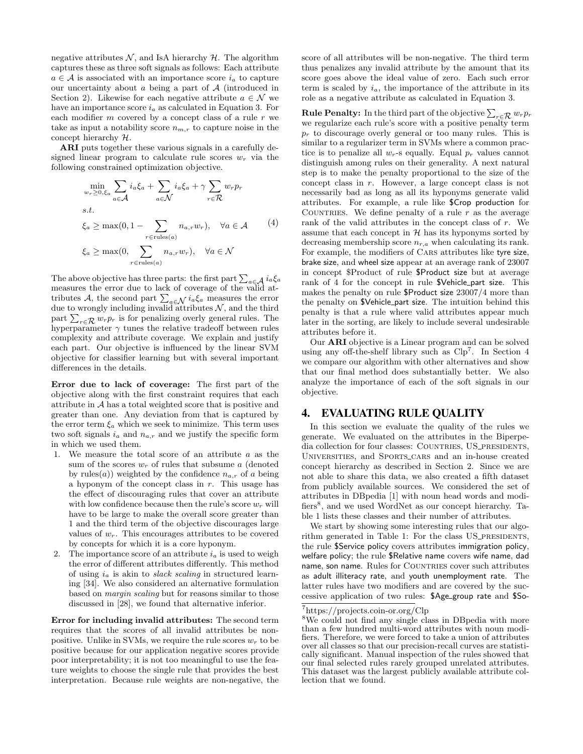negative attributes  $N$ , and IsA hierarchy  $H$ . The algorithm captures these as three soft signals as follows: Each attribute  $a \in \mathcal{A}$  is associated with an importance score  $i_a$  to capture our uncertainty about  $\alpha$  being a part of  $\mathcal A$  (introduced in Section 2). Likewise for each negative attribute  $a \in \mathcal{N}$  we have an importance score  $i_a$  as calculated in Equation 3. For each modifier  $m$  covered by a concept class of a rule  $r$  we take as input a notability score  $n_{m,r}$  to capture noise in the concept hierarchy H.

ARI puts together these various signals in a carefully designed linear program to calculate rule scores  $w_r$  via the following constrained optimization objective.

$$
\min_{w_r \ge 0, \xi_a} \sum_{a \in \mathcal{A}} i_a \xi_a + \sum_{a \in \mathcal{N}} i_a \xi_a + \gamma \sum_{r \in \mathcal{R}} w_r p_r
$$
  
s.t.  

$$
\xi_a \ge \max(0, 1 - \sum_{r \in \text{rules}(a)} n_{a,r} w_r), \quad \forall a \in \mathcal{A}
$$
  

$$
\xi_a \ge \max(0, \sum_{r \in \text{rules}(a)} n_{a,r} w_r), \quad \forall a \in \mathcal{N}
$$

The above objective has three parts: the first part  $\sum_{a \in \mathcal{A}} i_a \xi_a$  measures the error due to lack of coverage of the valid attributes A, the second part  $\sum_{a \in \mathcal{N}} i_a \xi_a$  measures the error due to wrongly including invalid attributes N, and the third part  $\sum_{r \in \mathcal{R}} w_r p_r$  is for penalizing overly general rules. The hyperparameter  $\gamma$  tunes the relative tradeoff between rules complexity and attribute coverage. We explain and justify each part. Our objective is influenced by the linear SVM objective for classifier learning but with several important differences in the details.

Error due to lack of coverage: The first part of the objective along with the first constraint requires that each attribute in  $A$  has a total weighted score that is positive and greater than one. Any deviation from that is captured by the error term  $\xi_a$  which we seek to minimize. This term uses two soft signals  $i_a$  and  $n_{a,r}$  and we justify the specific form in which we used them.

- 1. We measure the total score of an attribute a as the sum of the scores  $w_r$  of rules that subsume a (denoted by rules(*a*)) weighted by the confidence  $n_{a,r}$  of *a* being a hyponym of the concept class in  $r$ . This usage has the effect of discouraging rules that cover an attribute with low confidence because then the rule's score  $w_r$  will have to be large to make the overall score greater than 1 and the third term of the objective discourages large values of  $w_r$ . This encourages attributes to be covered by concepts for which it is a core hyponym.
- 2. The importance score of an attribute  $i_a$  is used to weigh the error of different attributes differently. This method of using  $i_a$  is akin to *slack scaling* in structured learning [34]. We also considered an alternative formulation based on margin scaling but for reasons similar to those discussed in [28], we found that alternative inferior.

Error for including invalid attributes: The second term requires that the scores of all invalid attributes be nonpositive. Unlike in SVMs, we require the rule scores  $w_r$  to be positive because for our application negative scores provide poor interpretability; it is not too meaningful to use the feature weights to choose the single rule that provides the best interpretation. Because rule weights are non-negative, the score of all attributes will be non-negative. The third term thus penalizes any invalid attribute by the amount that its score goes above the ideal value of zero. Each such error term is scaled by  $i_a$ , the importance of the attribute in its role as a negative attribute as calculated in Equation 3.

**Rule Penalty:** In the third part of the objective  $\sum_{r \in \mathcal{R}} w_r p_r$ we regularize each rule's score with a positive penalty term  $p_r$  to discourage overly general or too many rules. This is similar to a regularizer term in SVMs where a common practice is to penalize all  $w_r$ -s equally. Equal  $p_r$  values cannot distinguish among rules on their generality. A next natural step is to make the penalty proportional to the size of the concept class in r. However, a large concept class is not necessarily bad as long as all its hyponyms generate valid attributes. For example, a rule like \$Crop production for COUNTRIES. We define penalty of a rule  $r$  as the average rank of the valid attributes in the concept class of r. We assume that each concept in  $H$  has its hyponyms sorted by decreasing membership score  $n_{r,a}$  when calculating its rank. For example, the modifiers of Cars attributes like tyre size, brake size, and wheel size appear at an average rank of 23007 in concept \$Product of rule \$Product size but at average rank of 4 for the concept in rule \$Vehicle part size. This makes the penalty on rule \$Product size 23007/4 more than the penalty on \$Vehicle part size. The intuition behind this penalty is that a rule where valid attributes appear much later in the sorting, are likely to include several undesirable attributes before it.

Our ARI objective is a Linear program and can be solved using any off-the-shelf library such as Clp<sup>7</sup>. In Section 4 we compare our algorithm with other alternatives and show that our final method does substantially better. We also analyze the importance of each of the soft signals in our objective.

## 4. EVALUATING RULE QUALITY

In this section we evaluate the quality of the rules we generate. We evaluated on the attributes in the Biperpedia collection for four classes: COUNTRIES, US\_PRESIDENTS, UNIVERSITIES, and SPORTS\_CARS and an in-house created concept hierarchy as described in Section 2. Since we are not able to share this data, we also created a fifth dataset from publicly available sources. We considered the set of attributes in DBpedia [1] with noun head words and modifiers<sup>8</sup>, and we used WordNet as our concept hierarchy. Table 1 lists these classes and their number of attributes.

We start by showing some interesting rules that our algorithm generated in Table 1: For the class US\_PRESIDENTS, the rule \$Service policy covers attributes immigration policy, welfare policy; the rule \$Relative name covers wife name, dad name, son name. Rules for COUNTRIES cover such attributes as adult illiteracy rate, and youth unemployment rate. The latter rules have two modifiers and are covered by the successive application of two rules: \$Age group rate and \$So-

<sup>7</sup>https://projects.coin-or.org/Clp

<sup>8</sup>We could not find any single class in DBpedia with more than a few hundred multi-word attributes with noun modifiers. Therefore, we were forced to take a union of attributes over all classes so that our precision-recall curves are statistically significant. Manual inspection of the rules showed that our final selected rules rarely grouped unrelated attributes. This dataset was the largest publicly available attribute collection that we found.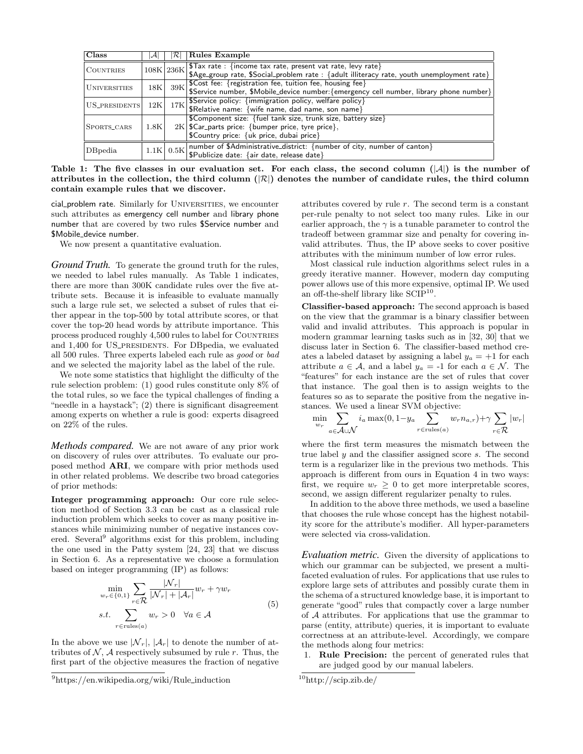| Class               |      | RI        | Rules Example                                                                                                                                                                                                  |  |  |  |  |
|---------------------|------|-----------|----------------------------------------------------------------------------------------------------------------------------------------------------------------------------------------------------------------|--|--|--|--|
| <b>COUNTRIES</b>    |      |           | $\frac{1}{108 \text{K}} \left  236 \text{K} \right $ \$Tax rate : {income tax rate, present vat rate, levy rate}<br>\$Age_group rate, \$Social_problem rate : {adult illiteracy rate, youth unemployment rate} |  |  |  |  |
| <b>UNIVERSITIES</b> |      | $18K$ 39K | SCost fee: {registration fee, tuition fee, housing fee}<br>\$Service number, \$Mobile_device number: {emergency cell number, library phone number}                                                             |  |  |  |  |
| US_PRESIDENTS       | 12K  |           | 17K Service policy: {immigration policy, welfare policy}<br>\$Relative name: {wife name, dad name, son name}                                                                                                   |  |  |  |  |
| SPORTS_CARS         | 1.8K |           | \$Component size: {fuel tank size, trunk size, battery size}<br>$2K$ SCar parts price: {bumper price, tyre price},<br> \$Country price: {uk price, dubai price}                                                |  |  |  |  |
| DBpedia             |      |           | 1.1K 0.5K number of \$Administrative_district: {number of city, number of canton}<br>1.1K $\left  0.5K \right $ \$Publicize date: {air date, release date}                                                     |  |  |  |  |

Table 1: The five classes in our evaluation set. For each class, the second column  $(|A|)$  is the number of attributes in the collection, the third column ( $|\mathcal{R}|$ ) denotes the number of candidate rules, the third column contain example rules that we discover.

cial\_problem rate. Similarly for UNIVERSITIES, we encounter such attributes as emergency cell number and library phone number that are covered by two rules \$Service number and \$Mobile\_device number.

We now present a quantitative evaluation.

*Ground Truth.* To generate the ground truth for the rules, we needed to label rules manually. As Table 1 indicates, there are more than 300K candidate rules over the five attribute sets. Because it is infeasible to evaluate manually such a large rule set, we selected a subset of rules that either appear in the top-500 by total attribute scores, or that cover the top-20 head words by attribute importance. This process produced roughly 4,500 rules to label for COUNTRIES and 1,400 for US\_PRESIDENTS. For DBpedia, we evaluated all 500 rules. Three experts labeled each rule as good or bad and we selected the majority label as the label of the rule.

We note some statistics that highlight the difficulty of the rule selection problem: (1) good rules constitute only 8% of the total rules, so we face the typical challenges of finding a "needle in a haystack"; (2) there is significant disagreement among experts on whether a rule is good: experts disagreed on 22% of the rules.

*Methods compared.* We are not aware of any prior work on discovery of rules over attributes. To evaluate our proposed method ARI, we compare with prior methods used in other related problems. We describe two broad categories of prior methods:

Integer programming approach: Our core rule selection method of Section 3.3 can be cast as a classical rule induction problem which seeks to cover as many positive instances while minimizing number of negative instances covered. Several<sup>9</sup> algorithms exist for this problem, including the one used in the Patty system [24, 23] that we discuss in Section 6. As a representative we choose a formulation based on integer programming (IP) as follows:

$$
\min_{w_r \in \{0,1\}} \sum_{r \in \mathcal{R}} \frac{|\mathcal{N}_r|}{|\mathcal{N}_r| + |\mathcal{A}_r|} w_r + \gamma w_r
$$
\n
$$
s.t. \sum_{r \in \text{rules}(a)} w_r > 0 \quad \forall a \in \mathcal{A}
$$
\n
$$
(5)
$$

In the above we use  $|\mathcal{N}_r|, |\mathcal{A}_r|$  to denote the number of attributes of  $N$ , A respectively subsumed by rule r. Thus, the first part of the objective measures the fraction of negative attributes covered by rule  $r$ . The second term is a constant per-rule penalty to not select too many rules. Like in our earlier approach, the  $\gamma$  is a tunable parameter to control the tradeoff between grammar size and penalty for covering invalid attributes. Thus, the IP above seeks to cover positive attributes with the minimum number of low error rules.

Most classical rule induction algorithms select rules in a greedy iterative manner. However, modern day computing power allows use of this more expensive, optimal IP. We used an off-the-shelf library like  $SCIP^{10}$ .

Classifier-based approach: The second approach is based on the view that the grammar is a binary classifier between valid and invalid attributes. This approach is popular in modern grammar learning tasks such as in [32, 30] that we discuss later in Section 6. The classifier-based method creates a labeled dataset by assigning a label  $y_a = +1$  for each attribute  $a \in \mathcal{A}$ , and a label  $y_a = -1$  for each  $a \in \mathcal{N}$ . The "features" for each instance are the set of rules that cover that instance. The goal then is to assign weights to the features so as to separate the positive from the negative instances. We used a linear SVM objective:

$$
\min_{w_r} \sum_{a \in \mathcal{A} \cup \mathcal{N}} i_a \max(0, 1 - y_a \sum_{r \in \text{rules}(a)} w_r n_{a,r}) + \gamma \sum_{r \in \mathcal{R}} |w_r|
$$

where the first term measures the mismatch between the true label  $y$  and the classifier assigned score  $s$ . The second term is a regularizer like in the previous two methods. This approach is different from ours in Equation 4 in two ways: first, we require  $w_r \geq 0$  to get more interpretable scores, second, we assign different regularizer penalty to rules.

In addition to the above three methods, we used a baseline that chooses the rule whose concept has the highest notability score for the attribute's modifier. All hyper-parameters were selected via cross-validation.

*Evaluation metric.* Given the diversity of applications to which our grammar can be subjected, we present a multifaceted evaluation of rules. For applications that use rules to explore large sets of attributes and possibly curate them in the schema of a structured knowledge base, it is important to generate "good" rules that compactly cover a large number of A attributes. For applications that use the grammar to parse (entity, attribute) queries, it is important to evaluate correctness at an attribute-level. Accordingly, we compare the methods along four metrics:

1. Rule Precision: the percent of generated rules that are judged good by our manual labelers.

 $^{9}$ https://en.wikipedia.org/wiki/Rule\_induction

<sup>10</sup>http://scip.zib.de/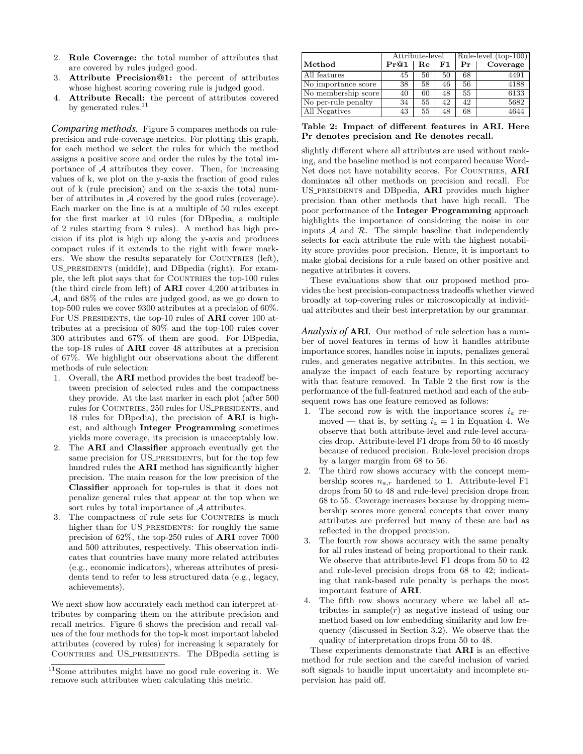- 2. Rule Coverage: the total number of attributes that are covered by rules judged good.
- 3. Attribute Precision@1: the percent of attributes whose highest scoring covering rule is judged good.
- 4. Attribute Recall: the percent of attributes covered by generated rules. $11$

*Comparing methods.* Figure 5 compares methods on ruleprecision and rule-coverage metrics. For plotting this graph, for each method we select the rules for which the method assigns a positive score and order the rules by the total importance of  $A$  attributes they cover. Then, for increasing values of k, we plot on the y-axis the fraction of good rules out of k (rule precision) and on the x-axis the total number of attributes in A covered by the good rules (coverage). Each marker on the line is at a multiple of 50 rules except for the first marker at 10 rules (for DBpedia, a multiple of 2 rules starting from 8 rules). A method has high precision if its plot is high up along the y-axis and produces compact rules if it extends to the right with fewer markers. We show the results separately for COUNTRIES (left), US\_PRESIDENTS (middle), and DBpedia (right). For example, the left plot says that for COUNTRIES the top-100 rules (the third circle from left) of ARI cover 4,200 attributes in A, and 68% of the rules are judged good, as we go down to top-500 rules we cover 9300 attributes at a precision of 60%. For US\_PRESIDENTS, the top-10 rules of **ARI** cover 100 attributes at a precision of 80% and the top-100 rules cover 300 attributes and 67% of them are good. For DBpedia, the top-18 rules of ARI cover 48 attributes at a precision of 67%. We highlight our observations about the different methods of rule selection:

- 1. Overall, the ARI method provides the best tradeoff between precision of selected rules and the compactness they provide. At the last marker in each plot (after 500 rules for COUNTRIES, 250 rules for US\_PRESIDENTS, and 18 rules for DBpedia), the precision of ARI is highest, and although Integer Programming sometimes yields more coverage, its precision is unacceptably low.
- The **ARI** and **Classifier** approach eventually get the same precision for US\_PRESIDENTS, but for the top few hundred rules the ARI method has significantly higher precision. The main reason for the low precision of the Classifier approach for top-rules is that it does not penalize general rules that appear at the top when we sort rules by total importance of A attributes.
- The compactness of rule sets for COUNTRIES is much higher than for US\_PRESIDENTS: for roughly the same precision of 62%, the top-250 rules of ARI cover 7000 and 500 attributes, respectively. This observation indicates that countries have many more related attributes (e.g., economic indicators), whereas attributes of presidents tend to refer to less structured data (e.g., legacy, achievements).

We next show how accurately each method can interpret attributes by comparing them on the attribute precision and recall metrics. Figure 6 shows the precision and recall values of the four methods for the top-k most important labeled attributes (covered by rules) for increasing k separately for COUNTRIES and US\_PRESIDENTS. The DBpedia setting is

|                      | Attribute-level |    |    | Rule-level $(\text{top-100})$ |          |
|----------------------|-----------------|----|----|-------------------------------|----------|
| $\vert$ Method       | Pr@1            | Re | F1 | Рr                            | Coverage |
| All features         | 45              | 56 | 50 | 68                            | 4491     |
| No importance score  | 38              | 58 | 46 | 56                            | 4188     |
| No membership score  | 40              | 60 | 48 | 55                            | 6133     |
| No per-rule penalty  | 34              | 55 | 42 | 42                            | 5682     |
| <b>All Negatives</b> | 43              | 55 | 48 | 68                            | 4644     |

Table 2: Impact of different features in ARI. Here Pr denotes precision and Re denotes recall.

slightly different where all attributes are used without ranking, and the baseline method is not compared because Word-Net does not have notability scores. For COUNTRIES, ARI dominates all other methods on precision and recall. For US\_PRESIDENTS and DBpedia, **ARI** provides much higher precision than other methods that have high recall. The poor performance of the Integer Programming approach highlights the importance of considering the noise in our inputs  $A$  and  $R$ . The simple baseline that independently selects for each attribute the rule with the highest notability score provides poor precision. Hence, it is important to make global decisions for a rule based on other positive and negative attributes it covers.

These evaluations show that our proposed method provides the best precision-compactness tradeoffs whether viewed broadly at top-covering rules or microscopically at individual attributes and their best interpretation by our grammar.

*Analysis of* ARI*.* Our method of rule selection has a number of novel features in terms of how it handles attribute importance scores, handles noise in inputs, penalizes general rules, and generates negative attributes. In this section, we analyze the impact of each feature by reporting accuracy with that feature removed. In Table 2 the first row is the performance of the full-featured method and each of the subsequent rows has one feature removed as follows:

- 1. The second row is with the importance scores  $i_a$  removed — that is, by setting  $i_a = 1$  in Equation 4. We observe that both attribute-level and rule-level accuracies drop. Attribute-level F1 drops from 50 to 46 mostly because of reduced precision. Rule-level precision drops by a larger margin from 68 to 56.
- 2. The third row shows accuracy with the concept membership scores  $n_{a,r}$  hardened to 1. Attribute-level F1 drops from 50 to 48 and rule-level precision drops from 68 to 55. Coverage increases because by dropping membership scores more general concepts that cover many attributes are preferred but many of these are bad as reflected in the dropped precision.
- 3. The fourth row shows accuracy with the same penalty for all rules instead of being proportional to their rank. We observe that attribute-level F1 drops from 50 to 42 and rule-level precision drops from 68 to 42; indicating that rank-based rule penalty is perhaps the most important feature of ARI.
- 4. The fifth row shows accuracy where we label all attributes in sample $(r)$  as negative instead of using our method based on low embedding similarity and low frequency (discussed in Section 3.2). We observe that the quality of interpretation drops from 50 to 48.

These experiments demonstrate that ARI is an effective method for rule section and the careful inclusion of varied soft signals to handle input uncertainty and incomplete supervision has paid off.

<sup>&</sup>lt;sup>11</sup>Some attributes might have no good rule covering it. We remove such attributes when calculating this metric.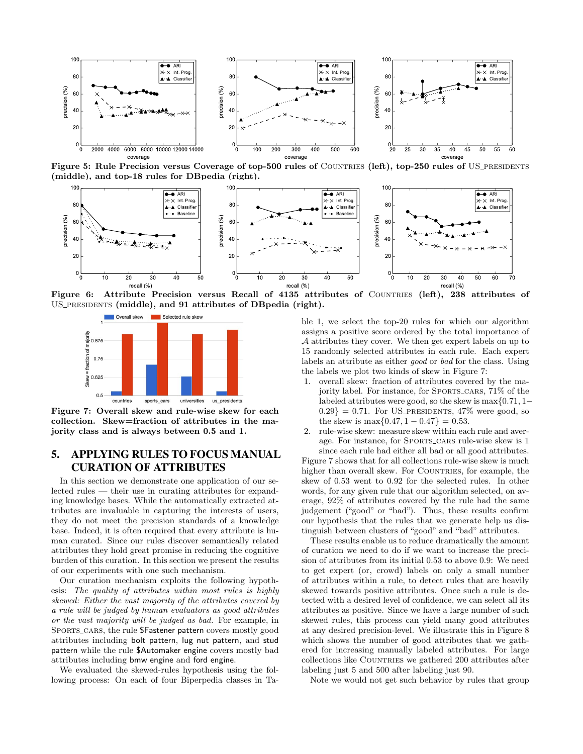

Figure 5: Rule Precision versus Coverage of top-500 rules of COUNTRIES (left), top-250 rules of US\_PRESIDENTS (middle), and top-18 rules for DBpedia (right).



Figure 6: Attribute Precision versus Recall of 4135 attributes of COUNTRIES (left), 238 attributes of US\_PRESIDENTS (middle), and 91 attributes of DBpedia (right).



Figure 7: Overall skew and rule-wise skew for each collection. Skew=fraction of attributes in the majority class and is always between 0.5 and 1.

# 5. APPLYING RULES TO FOCUS MANUAL CURATION OF ATTRIBUTES

In this section we demonstrate one application of our selected rules — their use in curating attributes for expanding knowledge bases. While the automatically extracted attributes are invaluable in capturing the interests of users, they do not meet the precision standards of a knowledge base. Indeed, it is often required that every attribute is human curated. Since our rules discover semantically related attributes they hold great promise in reducing the cognitive burden of this curation. In this section we present the results of our experiments with one such mechanism.

Our curation mechanism exploits the following hypothesis: The quality of attributes within most rules is highly skewed: Either the vast majority of the attributes covered by a rule will be judged by human evaluators as good attributes or the vast majority will be judged as bad. For example, in SPORTS\_CARS, the rule \$Fastener pattern covers mostly good attributes including bolt pattern, lug nut pattern, and stud pattern while the rule \$Automaker engine covers mostly bad attributes including bmw engine and ford engine.

We evaluated the skewed-rules hypothesis using the following process: On each of four Biperpedia classes in Table 1, we select the top-20 rules for which our algorithm assigns a positive score ordered by the total importance of A attributes they cover. We then get expert labels on up to 15 randomly selected attributes in each rule. Each expert labels an attribute as either good or bad for the class. Using the labels we plot two kinds of skew in Figure 7:

- 1. overall skew: fraction of attributes covered by the majority label. For instance, for SPORTS\_CARS,  $71\%$  of the labeled attributes were good, so the skew is max{0.71, 1−  $0.29$  = 0.71. For US\_PRESIDENTS, 47\% were good, so the skew is max $\{0.47, 1 - 0.47\} = 0.53$ .
- 2. rule-wise skew: measure skew within each rule and average. For instance, for SPORTS\_CARS rule-wise skew is 1 since each rule had either all bad or all good attributes.

Figure 7 shows that for all collections rule-wise skew is much higher than overall skew. For COUNTRIES, for example, the skew of 0.53 went to 0.92 for the selected rules. In other words, for any given rule that our algorithm selected, on average, 92% of attributes covered by the rule had the same judgement ("good" or "bad"). Thus, these results confirm our hypothesis that the rules that we generate help us distinguish between clusters of "good" and "bad" attributes.

These results enable us to reduce dramatically the amount of curation we need to do if we want to increase the precision of attributes from its initial 0.53 to above 0.9: We need to get expert (or, crowd) labels on only a small number of attributes within a rule, to detect rules that are heavily skewed towards positive attributes. Once such a rule is detected with a desired level of confidence, we can select all its attributes as positive. Since we have a large number of such skewed rules, this process can yield many good attributes at any desired precision-level. We illustrate this in Figure 8 which shows the number of good attributes that we gathered for increasing manually labeled attributes. For large collections like COUNTRIES we gathered 200 attributes after labeling just 5 and 500 after labeling just 90.

Note we would not get such behavior by rules that group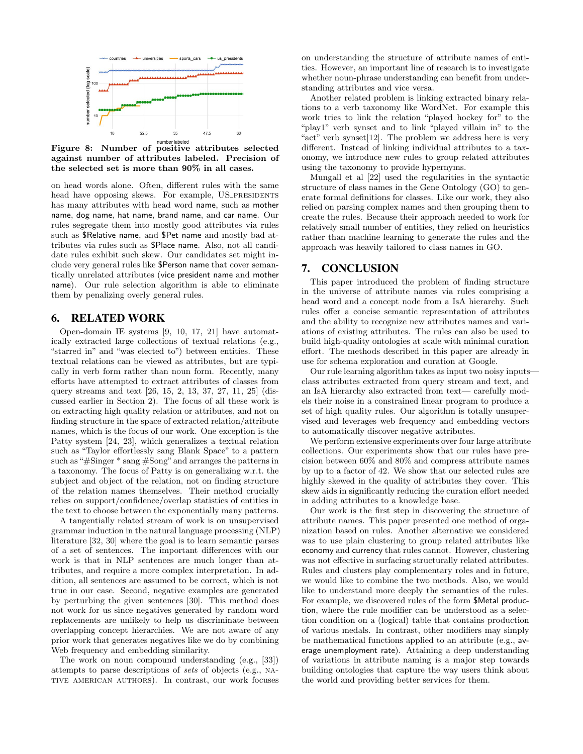

Figure 8: Number of positive attributes selected against number of attributes labeled. Precision of the selected set is more than 90% in all cases.

on head words alone. Often, different rules with the same head have opposing skews. For example, US\_PRESIDENTS has many attributes with head word name, such as mother name, dog name, hat name, brand name, and car name. Our rules segregate them into mostly good attributes via rules such as \$Relative name, and \$Pet name and mostly bad attributes via rules such as \$Place name. Also, not all candidate rules exhibit such skew. Our candidates set might include very general rules like \$Person name that cover semantically unrelated attributes (vice president name and mother name). Our rule selection algorithm is able to eliminate them by penalizing overly general rules.

## 6. RELATED WORK

Open-domain IE systems [9, 10, 17, 21] have automatically extracted large collections of textual relations (e.g., "starred in" and "was elected to") between entities. These textual relations can be viewed as attributes, but are typically in verb form rather than noun form. Recently, many efforts have attempted to extract attributes of classes from query streams and text [26, 15, 2, 13, 37, 27, 11, 25] (discussed earlier in Section 2). The focus of all these work is on extracting high quality relation or attributes, and not on finding structure in the space of extracted relation/attribute names, which is the focus of our work. One exception is the Patty system [24, 23], which generalizes a textual relation such as "Taylor effortlessly sang Blank Space" to a pattern such as "#Singer \* sang #Song" and arranges the patterns in a taxonomy. The focus of Patty is on generalizing w.r.t. the subject and object of the relation, not on finding structure of the relation names themselves. Their method crucially relies on support/confidence/overlap statistics of entities in the text to choose between the exponentially many patterns.

A tangentially related stream of work is on unsupervised grammar induction in the natural language processing (NLP) literature [32, 30] where the goal is to learn semantic parses of a set of sentences. The important differences with our work is that in NLP sentences are much longer than attributes, and require a more complex interpretation. In addition, all sentences are assumed to be correct, which is not true in our case. Second, negative examples are generated by perturbing the given sentences [30]. This method does not work for us since negatives generated by random word replacements are unlikely to help us discriminate between overlapping concept hierarchies. We are not aware of any prior work that generates negatives like we do by combining Web frequency and embedding similarity.

The work on noun compound understanding (e.g., [33]) attempts to parse descriptions of sets of objects (e.g., native american authors). In contrast, our work focuses on understanding the structure of attribute names of entities. However, an important line of research is to investigate whether noun-phrase understanding can benefit from understanding attributes and vice versa.

Another related problem is linking extracted binary relations to a verb taxonomy like WordNet. For example this work tries to link the relation "played hockey for" to the "play1" verb synset and to link "played villain in" to the "act" verb synset[12]. The problem we address here is very different. Instead of linking individual attributes to a taxonomy, we introduce new rules to group related attributes using the taxonomy to provide hypernyms.

Mungall et al [22] used the regularities in the syntactic structure of class names in the Gene Ontology (GO) to generate formal definitions for classes. Like our work, they also relied on parsing complex names and then grouping them to create the rules. Because their approach needed to work for relatively small number of entities, they relied on heuristics rather than machine learning to generate the rules and the approach was heavily tailored to class names in GO.

# 7. CONCLUSION

This paper introduced the problem of finding structure in the universe of attribute names via rules comprising a head word and a concept node from a IsA hierarchy. Such rules offer a concise semantic representation of attributes and the ability to recognize new attributes names and variations of existing attributes. The rules can also be used to build high-quality ontologies at scale with minimal curation effort. The methods described in this paper are already in use for schema exploration and curation at Google.

Our rule learning algorithm takes as input two noisy inputs class attributes extracted from query stream and text, and an IsA hierarchy also extracted from text— carefully models their noise in a constrained linear program to produce a set of high quality rules. Our algorithm is totally unsupervised and leverages web frequency and embedding vectors to automatically discover negative attributes.

We perform extensive experiments over four large attribute collections. Our experiments show that our rules have precision between 60% and 80% and compress attribute names by up to a factor of 42. We show that our selected rules are highly skewed in the quality of attributes they cover. This skew aids in significantly reducing the curation effort needed in adding attributes to a knowledge base.

Our work is the first step in discovering the structure of attribute names. This paper presented one method of organization based on rules. Another alternative we considered was to use plain clustering to group related attributes like economy and currency that rules cannot. However, clustering was not effective in surfacing structurally related attributes. Rules and clusters play complementary roles and in future, we would like to combine the two methods. Also, we would like to understand more deeply the semantics of the rules. For example, we discovered rules of the form \$Metal production, where the rule modifier can be understood as a selection condition on a (logical) table that contains production of various medals. In contrast, other modifiers may simply be mathematical functions applied to an attribute (e.g., average unemployment rate). Attaining a deep understanding of variations in attribute naming is a major step towards building ontologies that capture the way users think about the world and providing better services for them.